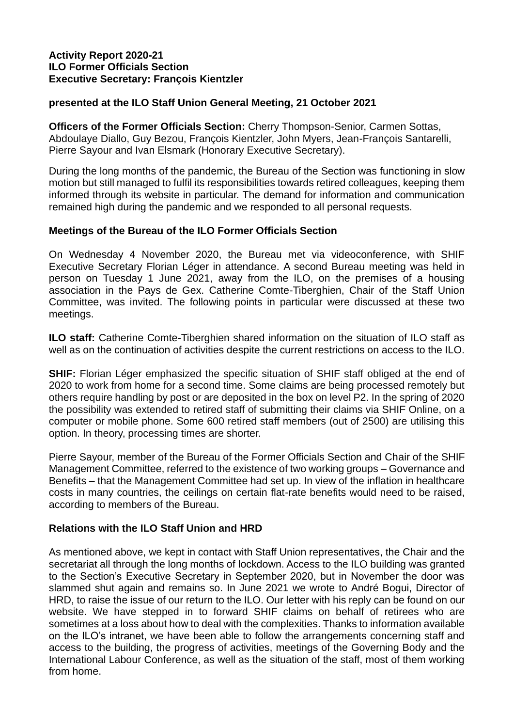#### **Activity Report 2020-21 ILO Former Officials Section Executive Secretary: François Kientzler**

### **presented at the ILO Staff Union General Meeting, 21 October 2021**

**Officers of the Former Officials Section:** Cherry Thompson-Senior, Carmen Sottas, Abdoulaye Diallo, Guy Bezou, François Kientzler, John Myers, Jean-François Santarelli, Pierre Sayour and Ivan Elsmark (Honorary Executive Secretary).

During the long months of the pandemic, the Bureau of the Section was functioning in slow motion but still managed to fulfil its responsibilities towards retired colleagues, keeping them informed through its website in particular. The demand for information and communication remained high during the pandemic and we responded to all personal requests.

### **Meetings of the Bureau of the ILO Former Officials Section**

On Wednesday 4 November 2020, the Bureau met via videoconference, with SHIF Executive Secretary Florian Léger in attendance. A second Bureau meeting was held in person on Tuesday 1 June 2021, away from the ILO, on the premises of a housing association in the Pays de Gex. Catherine Comte-Tiberghien, Chair of the Staff Union Committee, was invited. The following points in particular were discussed at these two meetings.

**ILO staff:** Catherine Comte-Tiberghien shared information on the situation of ILO staff as well as on the continuation of activities despite the current restrictions on access to the ILO.

**SHIF:** Florian Léger emphasized the specific situation of SHIF staff obliged at the end of 2020 to work from home for a second time. Some claims are being processed remotely but others require handling by post or are deposited in the box on level P2. In the spring of 2020 the possibility was extended to retired staff of submitting their claims via SHIF Online, on a computer or mobile phone. Some 600 retired staff members (out of 2500) are utilising this option. In theory, processing times are shorter.

Pierre Sayour, member of the Bureau of the Former Officials Section and Chair of the SHIF Management Committee, referred to the existence of two working groups – Governance and Benefits – that the Management Committee had set up. In view of the inflation in healthcare costs in many countries, the ceilings on certain flat-rate benefits would need to be raised, according to members of the Bureau.

#### **Relations with the ILO Staff Union and HRD**

As mentioned above, we kept in contact with Staff Union representatives, the Chair and the secretariat all through the long months of lockdown. Access to the ILO building was granted to the Section's Executive Secretary in September 2020, but in November the door was slammed shut again and remains so. In June 2021 we wrote to André Bogui, Director of HRD, to raise the issue of our return to the ILO. Our letter with his reply can be found on our website. We have stepped in to forward SHIF claims on behalf of retirees who are sometimes at a loss about how to deal with the complexities. Thanks to information available on the ILO's intranet, we have been able to follow the arrangements concerning staff and access to the building, the progress of activities, meetings of the Governing Body and the International Labour Conference, as well as the situation of the staff, most of them working from home.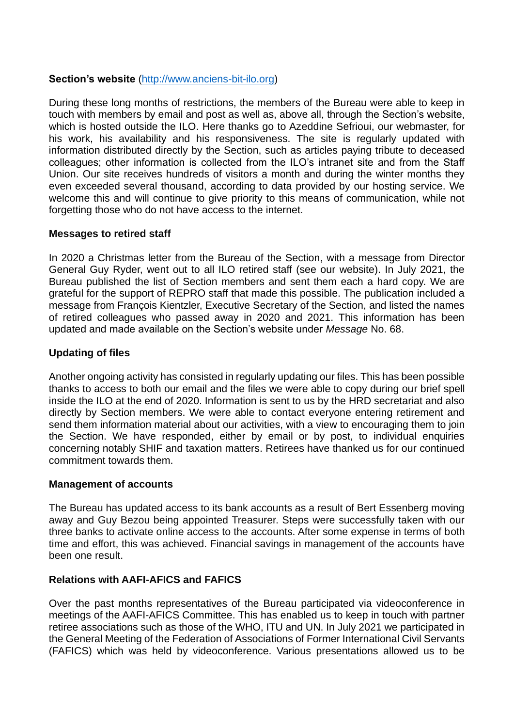# **Section's website** [\(http://www.anciens-bit-ilo.org\)](http://www.anciens-bit-ilo.org/)

During these long months of restrictions, the members of the Bureau were able to keep in touch with members by email and post as well as, above all, through the Section's website, which is hosted outside the ILO. Here thanks go to Azeddine Sefrioui, our webmaster, for his work, his availability and his responsiveness. The site is regularly updated with information distributed directly by the Section, such as articles paying tribute to deceased colleagues; other information is collected from the ILO's intranet site and from the Staff Union. Our site receives hundreds of visitors a month and during the winter months they even exceeded several thousand, according to data provided by our hosting service. We welcome this and will continue to give priority to this means of communication, while not forgetting those who do not have access to the internet.

#### **Messages to retired staff**

In 2020 a Christmas letter from the Bureau of the Section, with a message from Director General Guy Ryder, went out to all ILO retired staff (see our website). In July 2021, the Bureau published the list of Section members and sent them each a hard copy. We are grateful for the support of REPRO staff that made this possible. The publication included a message from François Kientzler, Executive Secretary of the Section, and listed the names of retired colleagues who passed away in 2020 and 2021. This information has been updated and made available on the Section's website under *Message* No. 68.

#### **Updating of files**

Another ongoing activity has consisted in regularly updating our files. This has been possible thanks to access to both our email and the files we were able to copy during our brief spell inside the ILO at the end of 2020. Information is sent to us by the HRD secretariat and also directly by Section members. We were able to contact everyone entering retirement and send them information material about our activities, with a view to encouraging them to join the Section. We have responded, either by email or by post, to individual enquiries concerning notably SHIF and taxation matters. Retirees have thanked us for our continued commitment towards them.

#### **Management of accounts**

The Bureau has updated access to its bank accounts as a result of Bert Essenberg moving away and Guy Bezou being appointed Treasurer. Steps were successfully taken with our three banks to activate online access to the accounts. After some expense in terms of both time and effort, this was achieved. Financial savings in management of the accounts have been one result.

#### **Relations with AAFI-AFICS and FAFICS**

Over the past months representatives of the Bureau participated via videoconference in meetings of the AAFI-AFICS Committee. This has enabled us to keep in touch with partner retiree associations such as those of the WHO, ITU and UN. In July 2021 we participated in the General Meeting of the Federation of Associations of Former International Civil Servants (FAFICS) which was held by videoconference. Various presentations allowed us to be